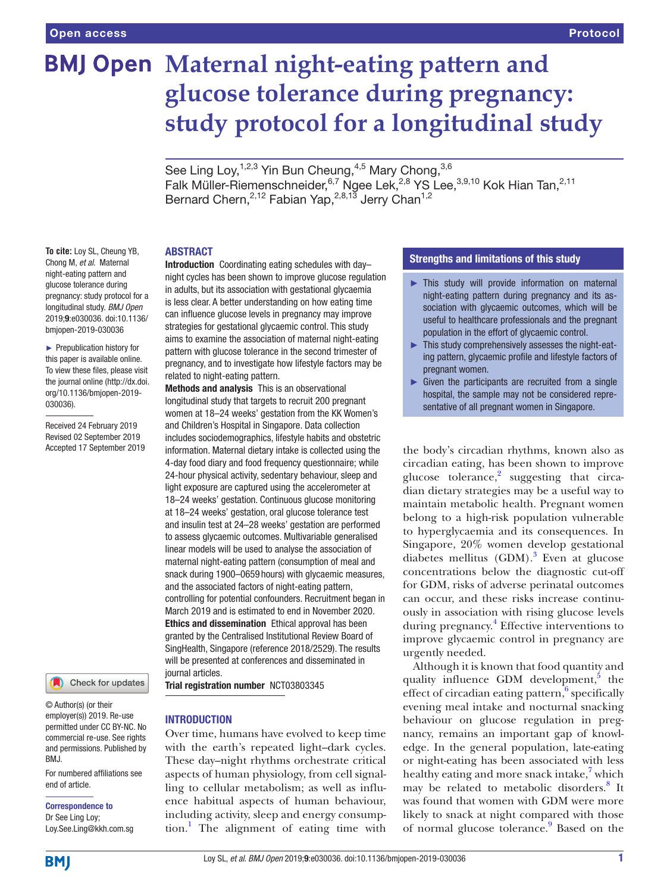# **BMJ Open Maternal night-eating pattern and glucose tolerance during pregnancy: study protocol for a longitudinal study**

See Ling Loy,  $1,2,3$  Yin Bun Cheung,  $4,5$  Mary Chong,  $3,6$ Falk Müller-Riemenschneider, 6,7 Ngee Lek, <sup>2,8</sup> YS Lee, <sup>3,9,10</sup> Kok Hian Tan, <sup>2,11</sup> Bernard Chern,<sup>2,12</sup> Fabian Yap,<sup>2,8,13</sup> Jerry Chan<sup>1,2</sup>

## **ABSTRACT**

**To cite:** Loy SL, Cheung YB, Chong M, *et al*. Maternal night-eating pattern and glucose tolerance during pregnancy: study protocol for a longitudinal study. *BMJ Open* 2019;9:e030036. doi:10.1136/ bmjopen-2019-030036

► Prepublication history for this paper is available online. To view these files, please visit the journal online (http://dx.doi. org/10.1136/bmjopen-2019- 030036).

Received 24 February 2019 Revised 02 September 2019 Accepted 17 September 2019



© Author(s) (or their employer(s)) 2019. Re-use permitted under CC BY-NC. No commercial re-use. See rights and permissions. Published by BMJ.

For numbered affiliations see end of article.

Correspondence to

Dr See Ling Loy; Loy.See.Ling@kkh.com.sg

Introduction Coordinating eating schedules with day– night cycles has been shown to improve glucose regulation in adults, but its association with gestational glycaemia is less clear. A better understanding on how eating time can influence glucose levels in pregnancy may improve strategies for gestational glycaemic control. This study aims to examine the association of maternal night-eating pattern with glucose tolerance in the second trimester of pregnancy, and to investigate how lifestyle factors may be related to night-eating pattern.

Methods and analysis This is an observational longitudinal study that targets to recruit 200 pregnant women at 18–24 weeks' gestation from the KK Women's and Children's Hospital in Singapore. Data collection includes sociodemographics, lifestyle habits and obstetric information. Maternal dietary intake is collected using the 4-day food diary and food frequency questionnaire; while 24-hour physical activity, sedentary behaviour, sleep and light exposure are captured using the accelerometer at 18–24 weeks' gestation. Continuous glucose monitoring at 18–24 weeks' gestation, oral glucose tolerance test and insulin test at 24–28 weeks' gestation are performed to assess glycaemic outcomes. Multivariable generalised linear models will be used to analyse the association of maternal night-eating pattern (consumption of meal and snack during 1900–0659 hours) with glycaemic measures, and the associated factors of night-eating pattern, controlling for potential confounders. Recruitment began in March 2019 and is estimated to end in November 2020. Ethics and dissemination Ethical approval has been granted by the Centralised Institutional Review Board of SingHealth, Singapore (reference 2018/2529). The results will be presented at conferences and disseminated in journal articles.

Trial registration number <NCT03803345>

# **INTRODUCTION**

Over time, humans have evolved to keep time with the earth's repeated light–dark cycles. These day–night rhythms orchestrate critical aspects of human physiology, from cell signalling to cellular metabolism; as well as influence habitual aspects of human behaviour, including activity, sleep and energy consumption.[1](#page-5-0) The alignment of eating time with

# Strengths and limitations of this study

- ► This study will provide information on maternal night-eating pattern during pregnancy and its association with glycaemic outcomes, which will be useful to healthcare professionals and the pregnant population in the effort of glycaemic control.
- This study comprehensively assesses the night-eating pattern, glycaemic profile and lifestyle factors of pregnant women.
- $\blacktriangleright$  Given the participants are recruited from a single hospital, the sample may not be considered representative of all pregnant women in Singapore.

the body's circadian rhythms, known also as circadian eating, has been shown to improve glucose tolerance, $2$  suggesting that circadian dietary strategies may be a useful way to maintain metabolic health. Pregnant women belong to a high-risk population vulnerable to hyperglycaemia and its consequences. In Singapore, 20% women develop gestational diabetes mellitus (GDM).<sup>[3](#page-5-2)</sup> Even at glucose concentrations below the diagnostic cut-off for GDM, risks of adverse perinatal outcomes can occur, and these risks increase continuously in association with rising glucose levels during pregnancy.<sup>[4](#page-6-0)</sup> Effective interventions to improve glycaemic control in pregnancy are urgently needed.

Although it is known that food quantity and quality influence GDM development,<sup>[5](#page-6-1)</sup> the effect of circadian eating pattern, $6$  specifically evening meal intake and nocturnal snacking behaviour on glucose regulation in pregnancy, remains an important gap of knowledge. In the general population, late-eating or night-eating has been associated with less healthy eating and more snack intake,<sup>7</sup> which may be related to metabolic disorders.<sup>[8](#page-6-4)</sup> It was found that women with GDM were more likely to snack at night compared with those of normal glucose tolerance.<sup>[9](#page-6-5)</sup> Based on the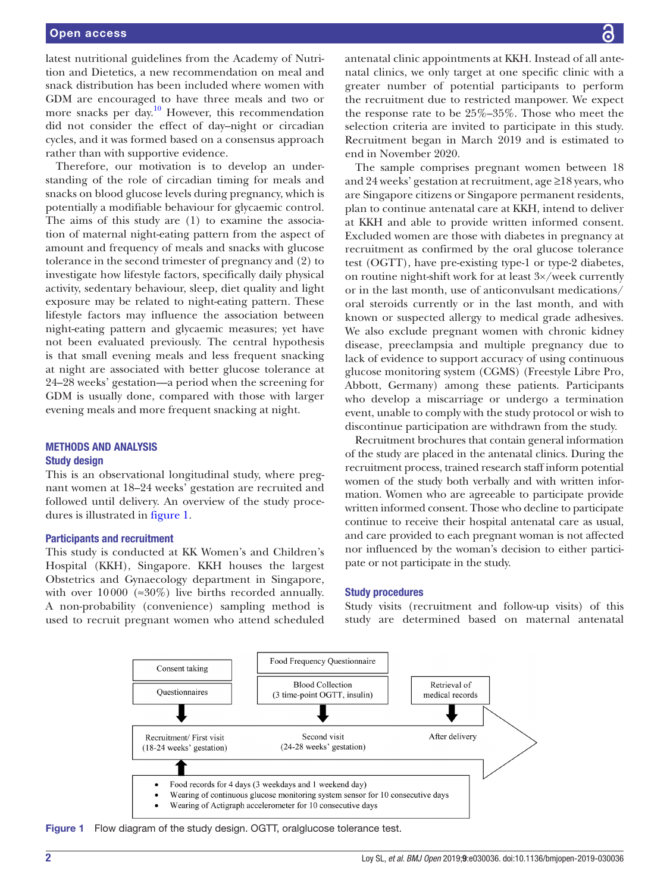latest nutritional guidelines from the Academy of Nutrition and Dietetics, a new recommendation on meal and snack distribution has been included where women with GDM are encouraged to have three meals and two or more snacks per day.<sup>[10](#page-6-6)</sup> However, this recommendation did not consider the effect of day–night or circadian cycles, and it was formed based on a consensus approach rather than with supportive evidence.

Therefore, our motivation is to develop an understanding of the role of circadian timing for meals and snacks on blood glucose levels during pregnancy, which is potentially a modifiable behaviour for glycaemic control. The aims of this study are (1) to examine the association of maternal night-eating pattern from the aspect of amount and frequency of meals and snacks with glucose tolerance in the second trimester of pregnancy and (2) to investigate how lifestyle factors, specifically daily physical activity, sedentary behaviour, sleep, diet quality and light exposure may be related to night-eating pattern. These lifestyle factors may influence the association between night-eating pattern and glycaemic measures; yet have not been evaluated previously. The central hypothesis is that small evening meals and less frequent snacking at night are associated with better glucose tolerance at 24–28 weeks' gestation—a period when the screening for GDM is usually done, compared with those with larger evening meals and more frequent snacking at night.

# Methods and analysis Study design

This is an observational longitudinal study, where pregnant women at 18–24 weeks' gestation are recruited and followed until delivery. An overview of the study procedures is illustrated in [figure](#page-1-0) 1.

### Participants and recruitment

This study is conducted at KK Women's and Children's Hospital (KKH), Singapore. KKH houses the largest Obstetrics and Gynaecology department in Singapore, with over  $10000$  (≈30%) live births recorded annually. A non-probability (convenience) sampling method is used to recruit pregnant women who attend scheduled antenatal clinic appointments at KKH. Instead of all antenatal clinics, we only target at one specific clinic with a greater number of potential participants to perform the recruitment due to restricted manpower. We expect the response rate to be 25%–35%. Those who meet the selection criteria are invited to participate in this study. Recruitment began in March 2019 and is estimated to end in November 2020.

The sample comprises pregnant women between 18 and 24 weeks' gestation at recruitment, age ≥18 years, who are Singapore citizens or Singapore permanent residents, plan to continue antenatal care at KKH, intend to deliver at KKH and able to provide written informed consent. Excluded women are those with diabetes in pregnancy at recruitment as confirmed by the oral glucose tolerance test (OGTT), have pre-existing type-1 or type-2 diabetes, on routine night-shift work for at least 3×/week currently or in the last month, use of anticonvulsant medications/ oral steroids currently or in the last month, and with known or suspected allergy to medical grade adhesives. We also exclude pregnant women with chronic kidney disease, preeclampsia and multiple pregnancy due to lack of evidence to support accuracy of using continuous glucose monitoring system (CGMS) (Freestyle Libre Pro, Abbott, Germany) among these patients. Participants who develop a miscarriage or undergo a termination event, unable to comply with the study protocol or wish to discontinue participation are withdrawn from the study.

Recruitment brochures that contain general information of the study are placed in the antenatal clinics. During the recruitment process, trained research staff inform potential women of the study both verbally and with written information. Women who are agreeable to participate provide written informed consent. Those who decline to participate continue to receive their hospital antenatal care as usual, and care provided to each pregnant woman is not affected nor influenced by the woman's decision to either participate or not participate in the study.

#### Study procedures

Study visits (recruitment and follow-up visits) of this study are determined based on maternal antenatal



<span id="page-1-0"></span>Figure 1 Flow diagram of the study design. OGTT, oralglucose tolerance test.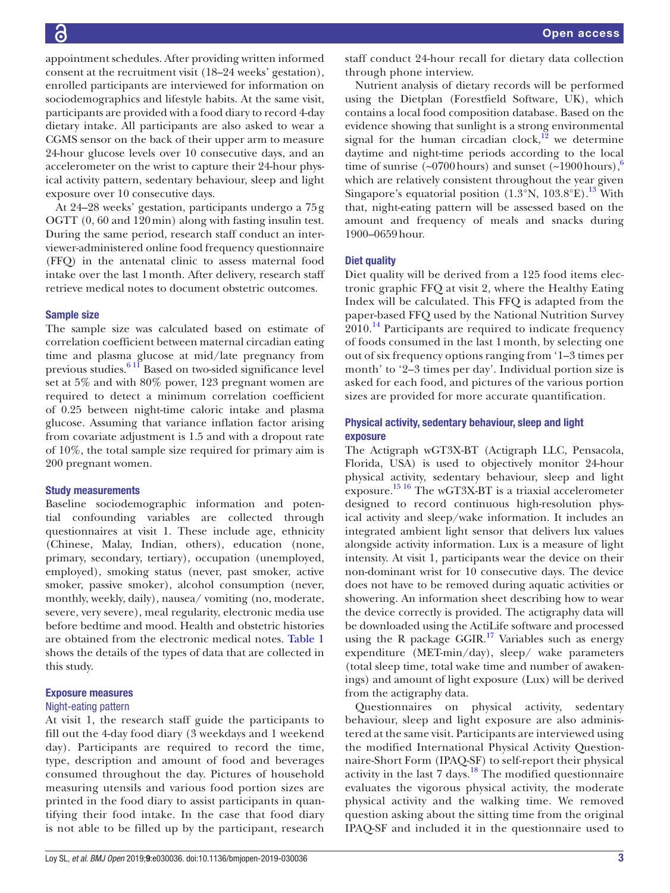appointment schedules. After providing written informed consent at the recruitment visit (18–24 weeks' gestation), enrolled participants are interviewed for information on sociodemographics and lifestyle habits. At the same visit, participants are provided with a food diary to record 4-day dietary intake. All participants are also asked to wear a CGMS sensor on the back of their upper arm to measure 24-hour glucose levels over 10 consecutive days, and an accelerometer on the wrist to capture their 24-hour physical activity pattern, sedentary behaviour, sleep and light exposure over 10 consecutive days.

At 24–28 weeks' gestation, participants undergo a 75g OGTT (0, 60 and 120min) along with fasting insulin test. During the same period, research staff conduct an interviewer-administered online food frequency questionnaire (FFQ) in the antenatal clinic to assess maternal food intake over the last 1month. After delivery, research staff retrieve medical notes to document obstetric outcomes.

# Sample size

The sample size was calculated based on estimate of correlation coefficient between maternal circadian eating time and plasma glucose at mid/late pregnancy from previous studies.<sup>6 11</sup> Based on two-sided significance level set at 5% and with 80% power, 123 pregnant women are required to detect a minimum correlation coefficient of 0.25 between night-time caloric intake and plasma glucose. Assuming that variance inflation factor arising from covariate adjustment is 1.5 and with a dropout rate of 10%, the total sample size required for primary aim is 200 pregnant women.

### Study measurements

Baseline sociodemographic information and potential confounding variables are collected through questionnaires at visit 1. These include age, ethnicity (Chinese, Malay, Indian, others), education (none, primary, secondary, tertiary), occupation (unemployed, employed), smoking status (never, past smoker, active smoker, passive smoker), alcohol consumption (never, monthly, weekly, daily), nausea/ vomiting (no, moderate, severe, very severe), meal regularity, electronic media use before bedtime and mood. Health and obstetric histories are obtained from the electronic medical notes. [Table](#page-3-0) 1 shows the details of the types of data that are collected in this study.

### Exposure measures

#### Night-eating pattern

At visit 1, the research staff guide the participants to fill out the 4-day food diary (3 weekdays and 1 weekend day). Participants are required to record the time, type, description and amount of food and beverages consumed throughout the day. Pictures of household measuring utensils and various food portion sizes are printed in the food diary to assist participants in quantifying their food intake. In the case that food diary is not able to be filled up by the participant, research

staff conduct 24-hour recall for dietary data collection through phone interview.

Nutrient analysis of dietary records will be performed using the Dietplan (Forestfield Software, UK), which contains a local food composition database. Based on the evidence showing that sunlight is a strong environmental signal for the human circadian clock, $12$  we determine daytime and night-time periods according to the local time of sunrise ( $\sim 0700$  hours) and sunset ( $\sim 1900$  hours),<sup>6</sup> which are relatively consistent throughout the year given Singapore's equatorial position  $(1.3^{\circ}N, 103.8^{\circ}E).$ <sup>13</sup> With that, night-eating pattern will be assessed based on the amount and frequency of meals and snacks during 1900–0659hour.

### Diet quality

Diet quality will be derived from a 125 food items electronic graphic FFQ at visit 2, where the Healthy Eating Index will be calculated. This FFQ is adapted from the paper-based FFQ used by the National Nutrition Survey  $2010<sup>14</sup>$  $2010<sup>14</sup>$  $2010<sup>14</sup>$  Participants are required to indicate frequency of foods consumed in the last 1 month, by selecting one out of six frequency options ranging from '1–3 times per month' to '2–3 times per day'. Individual portion size is asked for each food, and pictures of the various portion sizes are provided for more accurate quantification.

# Physical activity, sedentary behaviour, sleep and light exposure

The Actigraph wGT3X-BT (Actigraph LLC, Pensacola, Florida, USA) is used to objectively monitor 24-hour physical activity, sedentary behaviour, sleep and light exposure. [15 16](#page-6-10) The wGT3X-BT is a triaxial accelerometer designed to record continuous high-resolution physical activity and sleep/wake information. It includes an integrated ambient light sensor that delivers lux values alongside activity information. Lux is a measure of light intensity. At visit 1, participants wear the device on their non-dominant wrist for 10 consecutive days. The device does not have to be removed during aquatic activities or showering. An information sheet describing how to wear the device correctly is provided. The actigraphy data will be downloaded using the ActiLife software and processed using the R package  $GGIR$ <sup>[17](#page-6-11)</sup> Variables such as energy expenditure (MET-min/day), sleep/ wake parameters (total sleep time, total wake time and number of awakenings) and amount of light exposure (Lux) will be derived from the actigraphy data.

Questionnaires on physical activity, sedentary behaviour, sleep and light exposure are also administered at the same visit. Participants are interviewed using the modified International Physical Activity Questionnaire-Short Form (IPAQ-SF) to self-report their physical activity in the last 7 days.<sup>[18](#page-6-12)</sup> The modified questionnaire evaluates the vigorous physical activity, the moderate physical activity and the walking time. We removed question asking about the sitting time from the original IPAQ-SF and included it in the questionnaire used to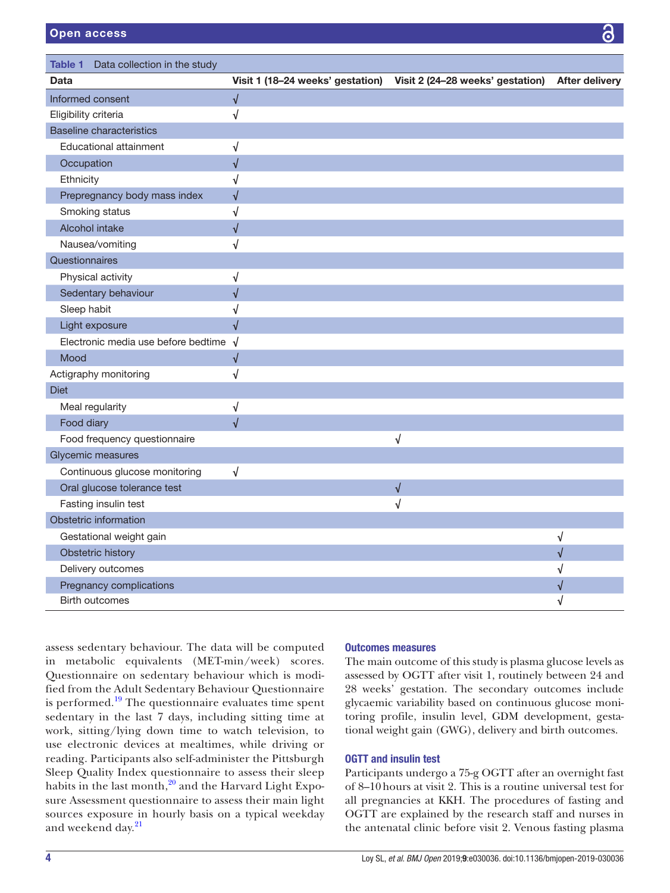<span id="page-3-0"></span>

| Data collection in the study<br>Table 1 |                                  |                                  |                       |
|-----------------------------------------|----------------------------------|----------------------------------|-----------------------|
| Data                                    | Visit 1 (18-24 weeks' gestation) | Visit 2 (24-28 weeks' gestation) | <b>After delivery</b> |
| Informed consent                        | $\sqrt{}$                        |                                  |                       |
| Eligibility criteria                    | √                                |                                  |                       |
| <b>Baseline characteristics</b>         |                                  |                                  |                       |
| Educational attainment                  | √                                |                                  |                       |
| Occupation                              | $\sqrt{2}$                       |                                  |                       |
| Ethnicity                               | √                                |                                  |                       |
| Prepregnancy body mass index            | √                                |                                  |                       |
| Smoking status                          | √                                |                                  |                       |
| Alcohol intake                          | $\sqrt{}$                        |                                  |                       |
| Nausea/vomiting                         | √                                |                                  |                       |
| Questionnaires                          |                                  |                                  |                       |
| Physical activity                       | $\sqrt{ }$                       |                                  |                       |
| Sedentary behaviour                     | $\sqrt{2}$                       |                                  |                       |
| Sleep habit                             | √                                |                                  |                       |
| Light exposure                          | $\sqrt{2}$                       |                                  |                       |
| Electronic media use before bedtime     | $\sqrt{ }$                       |                                  |                       |
| Mood                                    | $\sqrt{2}$                       |                                  |                       |
| Actigraphy monitoring                   | √                                |                                  |                       |
| <b>Diet</b>                             |                                  |                                  |                       |
| Meal regularity                         | √                                |                                  |                       |
| Food diary                              | $\sqrt{}$                        |                                  |                       |
| Food frequency questionnaire            |                                  | $\sqrt{}$                        |                       |
| Glycemic measures                       |                                  |                                  |                       |
| Continuous glucose monitoring           | $\sqrt{}$                        |                                  |                       |
| Oral glucose tolerance test             |                                  | $\sqrt{}$                        |                       |
| Fasting insulin test                    |                                  | √                                |                       |
| Obstetric information                   |                                  |                                  |                       |
| Gestational weight gain                 |                                  |                                  | √                     |
| Obstetric history                       |                                  |                                  | $\sqrt{2}$            |
| Delivery outcomes                       |                                  |                                  | √                     |
| Pregnancy complications                 |                                  |                                  | V                     |
| <b>Birth outcomes</b>                   |                                  |                                  | J                     |

assess sedentary behaviour. The data will be computed in metabolic equivalents (MET-min/week) scores. Questionnaire on sedentary behaviour which is modified from the Adult Sedentary Behaviour Questionnaire is performed.<sup>19</sup> The questionnaire evaluates time spent sedentary in the last 7 days, including sitting time at work, sitting/lying down time to watch television, to use electronic devices at mealtimes, while driving or reading. Participants also self-administer the Pittsburgh Sleep Quality Index questionnaire to assess their sleep habits in the last month, $^{20}$  and the Harvard Light Exposure Assessment questionnaire to assess their main light sources exposure in hourly basis on a typical weekday and weekend day.<sup>[21](#page-6-15)</sup>

## Outcomes measures

The main outcome of this study is plasma glucose levels as assessed by OGTT after visit 1, routinely between 24 and 28 weeks' gestation. The secondary outcomes include glycaemic variability based on continuous glucose monitoring profile, insulin level, GDM development, gestational weight gain (GWG), delivery and birth outcomes.

## OGTT and insulin test

Participants undergo a 75-g OGTT after an overnight fast of 8–10hours at visit 2. This is a routine universal test for all pregnancies at KKH. The procedures of fasting and OGTT are explained by the research staff and nurses in the antenatal clinic before visit 2. Venous fasting plasma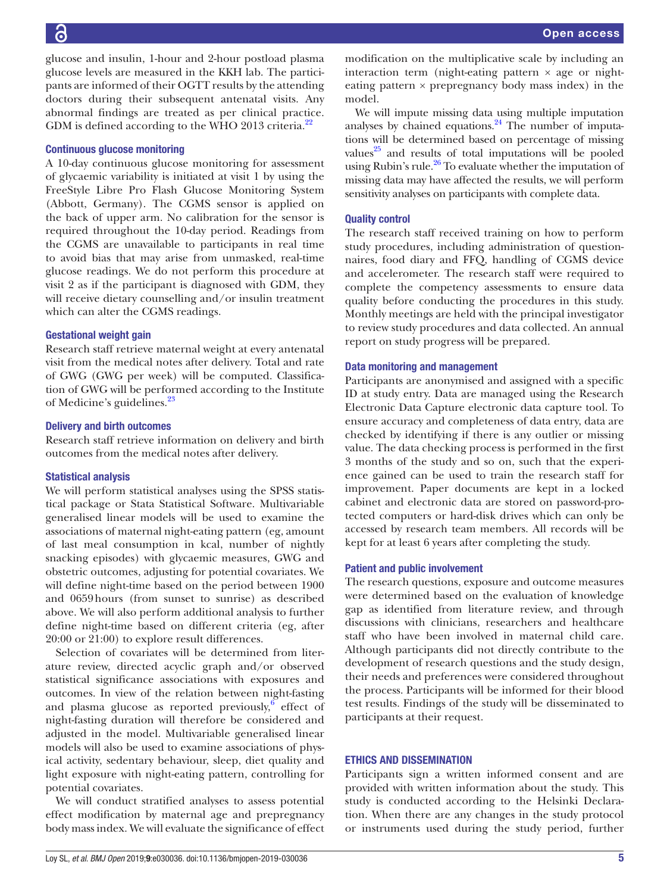glucose and insulin, 1-hour and 2-hour postload plasma glucose levels are measured in the KKH lab. The participants are informed of their OGTT results by the attending doctors during their subsequent antenatal visits. Any abnormal findings are treated as per clinical practice. GDM is defined according to the WHO 2013 criteria.<sup>22</sup>

# Continuous glucose monitoring

A 10-day continuous glucose monitoring for assessment of glycaemic variability is initiated at visit 1 by using the FreeStyle Libre Pro Flash Glucose Monitoring System (Abbott, Germany). The CGMS sensor is applied on the back of upper arm. No calibration for the sensor is required throughout the 10-day period. Readings from the CGMS are unavailable to participants in real time to avoid bias that may arise from unmasked, real-time glucose readings. We do not perform this procedure at visit 2 as if the participant is diagnosed with GDM, they will receive dietary counselling and/or insulin treatment which can alter the CGMS readings.

# Gestational weight gain

Research staff retrieve maternal weight at every antenatal visit from the medical notes after delivery. Total and rate of GWG (GWG per week) will be computed. Classification of GWG will be performed according to the Institute of Medicine's guidelines.[23](#page-6-17)

# Delivery and birth outcomes

Research staff retrieve information on delivery and birth outcomes from the medical notes after delivery.

# Statistical analysis

We will perform statistical analyses using the SPSS statistical package or Stata Statistical Software. Multivariable generalised linear models will be used to examine the associations of maternal night-eating pattern (eg, amount of last meal consumption in kcal, number of nightly snacking episodes) with glycaemic measures, GWG and obstetric outcomes, adjusting for potential covariates. We will define night-time based on the period between 1900 and 0659hours (from sunset to sunrise) as described above. We will also perform additional analysis to further define night-time based on different criteria (eg, after 20:00 or 21:00) to explore result differences.

Selection of covariates will be determined from literature review, directed acyclic graph and/or observed statistical significance associations with exposures and outcomes. In view of the relation between night-fasting and plasma glucose as reported previously, $6$  effect of night-fasting duration will therefore be considered and adjusted in the model. Multivariable generalised linear models will also be used to examine associations of physical activity, sedentary behaviour, sleep, diet quality and light exposure with night-eating pattern, controlling for potential covariates.

We will conduct stratified analyses to assess potential effect modification by maternal age and prepregnancy body mass index. We will evaluate the significance of effect modification on the multiplicative scale by including an interaction term (night-eating pattern  $\times$  age or nighteating pattern  $\times$  prepregnancy body mass index) in the model.

We will impute missing data using multiple imputation analyses by chained equations. $24$  The number of imputations will be determined based on percentage of missing values $^{25}$  and results of total imputations will be pooled using Rubin's rule. $26$  To evaluate whether the imputation of missing data may have affected the results, we will perform sensitivity analyses on participants with complete data.

# Quality control

The research staff received training on how to perform study procedures, including administration of questionnaires, food diary and FFQ, handling of CGMS device and accelerometer. The research staff were required to complete the competency assessments to ensure data quality before conducting the procedures in this study. Monthly meetings are held with the principal investigator to review study procedures and data collected. An annual report on study progress will be prepared.

# Data monitoring and management

Participants are anonymised and assigned with a specific ID at study entry. Data are managed using the Research Electronic Data Capture electronic data capture tool. To ensure accuracy and completeness of data entry, data are checked by identifying if there is any outlier or missing value. The data checking process is performed in the first 3 months of the study and so on, such that the experience gained can be used to train the research staff for improvement. Paper documents are kept in a locked cabinet and electronic data are stored on password-protected computers or hard-disk drives which can only be accessed by research team members. All records will be kept for at least 6 years after completing the study.

# Patient and public involvement

The research questions, exposure and outcome measures were determined based on the evaluation of knowledge gap as identified from literature review, and through discussions with clinicians, researchers and healthcare staff who have been involved in maternal child care. Although participants did not directly contribute to the development of research questions and the study design, their needs and preferences were considered throughout the process. Participants will be informed for their blood test results. Findings of the study will be disseminated to participants at their request.

# Ethics and dissemination

Participants sign a written informed consent and are provided with written information about the study. This study is conducted according to the Helsinki Declaration. When there are any changes in the study protocol or instruments used during the study period, further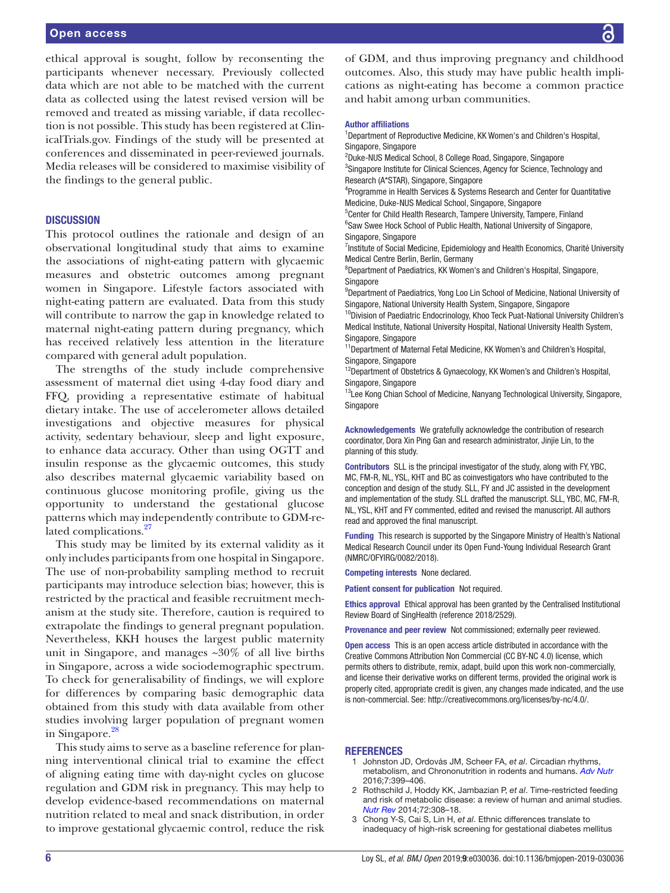ethical approval is sought, follow by reconsenting the participants whenever necessary. Previously collected data which are not able to be matched with the current data as collected using the latest revised version will be removed and treated as missing variable, if data recollection is not possible. This study has been registered at ClinicalTrials.gov. Findings of the study will be presented at conferences and disseminated in peer-reviewed journals. Media releases will be considered to maximise visibility of the findings to the general public.

# **DISCUSSION**

This protocol outlines the rationale and design of an observational longitudinal study that aims to examine the associations of night-eating pattern with glycaemic measures and obstetric outcomes among pregnant women in Singapore. Lifestyle factors associated with night-eating pattern are evaluated. Data from this study will contribute to narrow the gap in knowledge related to maternal night-eating pattern during pregnancy, which has received relatively less attention in the literature compared with general adult population.

The strengths of the study include comprehensive assessment of maternal diet using 4-day food diary and FFQ, providing a representative estimate of habitual dietary intake. The use of accelerometer allows detailed investigations and objective measures for physical activity, sedentary behaviour, sleep and light exposure, to enhance data accuracy. Other than using OGTT and insulin response as the glycaemic outcomes, this study also describes maternal glycaemic variability based on continuous glucose monitoring profile, giving us the opportunity to understand the gestational glucose patterns which may independently contribute to GDM-related complications.<sup>27</sup>

This study may be limited by its external validity as it only includes participants from one hospital in Singapore. The use of non-probability sampling method to recruit participants may introduce selection bias; however, this is restricted by the practical and feasible recruitment mechanism at the study site. Therefore, caution is required to extrapolate the findings to general pregnant population. Nevertheless, KKH houses the largest public maternity unit in Singapore, and manages ~30% of all live births in Singapore, across a wide sociodemographic spectrum. To check for generalisability of findings, we will explore for differences by comparing basic demographic data obtained from this study with data available from other studies involving larger population of pregnant women in Singapore. $28$ 

This study aims to serve as a baseline reference for planning interventional clinical trial to examine the effect of aligning eating time with day-night cycles on glucose regulation and GDM risk in pregnancy. This may help to develop evidence-based recommendations on maternal nutrition related to meal and snack distribution, in order to improve gestational glycaemic control, reduce the risk

of GDM, and thus improving pregnancy and childhood outcomes. Also, this study may have public health implications as night-eating has become a common practice and habit among urban communities.

#### Author affiliations

<sup>1</sup>Department of Reproductive Medicine, KK Women's and Children's Hospital, Singapore, Singapore

2 Duke-NUS Medical School, 8 College Road, Singapore, Singapore

<sup>3</sup>Singapore Institute for Clinical Sciences, Agency for Science, Technology and Research (A\*STAR), Singapore, Singapore

4 Programme in Health Services & Systems Research and Center for Quantitative Medicine, Duke-NUS Medical School, Singapore, Singapore

5 Center for Child Health Research, Tampere University, Tampere, Finland <sup>6</sup>Saw Swee Hock School of Public Health, National University of Singapore, Singapore, Singapore

<sup>7</sup>Institute of Social Medicine, Epidemiology and Health Economics, Charité University Medical Centre Berlin, Berlin, Germany

<sup>8</sup>Department of Paediatrics, KK Women's and Children's Hospital, Singapore, Singapore

<sup>9</sup>Department of Paediatrics, Yong Loo Lin School of Medicine, National University of Singapore, National University Health System, Singapore, Singapore

<sup>10</sup>Division of Paediatric Endocrinology, Khoo Teck Puat-National University Children's Medical Institute, National University Hospital, National University Health System, Singapore, Singapore

<sup>11</sup>Department of Maternal Fetal Medicine, KK Women's and Children's Hospital, Singapore, Singapore

<sup>12</sup>Department of Obstetrics & Gynaecology, KK Women's and Children's Hospital, Singapore, Singapore

<sup>13</sup>Lee Kong Chian School of Medicine, Nanyang Technological University, Singapore, **Singapore** 

Acknowledgements We gratefully acknowledge the contribution of research coordinator, Dora Xin Ping Gan and research administrator, Jinjie Lin, to the planning of this study.

Contributors SLL is the principal investigator of the study, along with FY, YBC, MC, FM-R, NL, YSL, KHT and BC as coinvestigators who have contributed to the conception and design of the study. SLL, FY and JC assisted in the development and implementation of the study. SLL drafted the manuscript. SLL, YBC, MC, FM-R, NL, YSL, KHT and FY commented, edited and revised the manuscript. All authors read and approved the final manuscript.

Funding This research is supported by the Singapore Ministry of Health's National Medical Research Council under its Open Fund-Young Individual Research Grant (NMRC/OFYIRG/0082/2018).

Competing interests None declared.

Patient consent for publication Not required.

Ethics approval Ethical approval has been granted by the Centralised Institutional Review Board of SingHealth (reference 2018/2529).

Provenance and peer review Not commissioned; externally peer reviewed.

Open access This is an open access article distributed in accordance with the Creative Commons Attribution Non Commercial (CC BY-NC 4.0) license, which permits others to distribute, remix, adapt, build upon this work non-commercially, and license their derivative works on different terms, provided the original work is properly cited, appropriate credit is given, any changes made indicated, and the use is non-commercial. See: [http://creativecommons.org/licenses/by-nc/4.0/.](http://creativecommons.org/licenses/by-nc/4.0/)

#### **REFERENCES**

- <span id="page-5-0"></span>1 Johnston JD, Ordovás JM, Scheer FA, *et al*. Circadian rhythms, metabolism, and Chrononutrition in rodents and humans. *[Adv Nutr](http://dx.doi.org/10.3945/an.115.010777)* 2016;7:399–406.
- <span id="page-5-1"></span>2 Rothschild J, Hoddy KK, Jambazian P, *et al*. Time-restricted feeding and risk of metabolic disease: a review of human and animal studies. *[Nutr Rev](http://dx.doi.org/10.1111/nure.12104)* 2014;72:308–18.
- <span id="page-5-2"></span>3 Chong Y-S, Cai S, Lin H, *et al*. Ethnic differences translate to inadequacy of high-risk screening for gestational diabetes mellitus